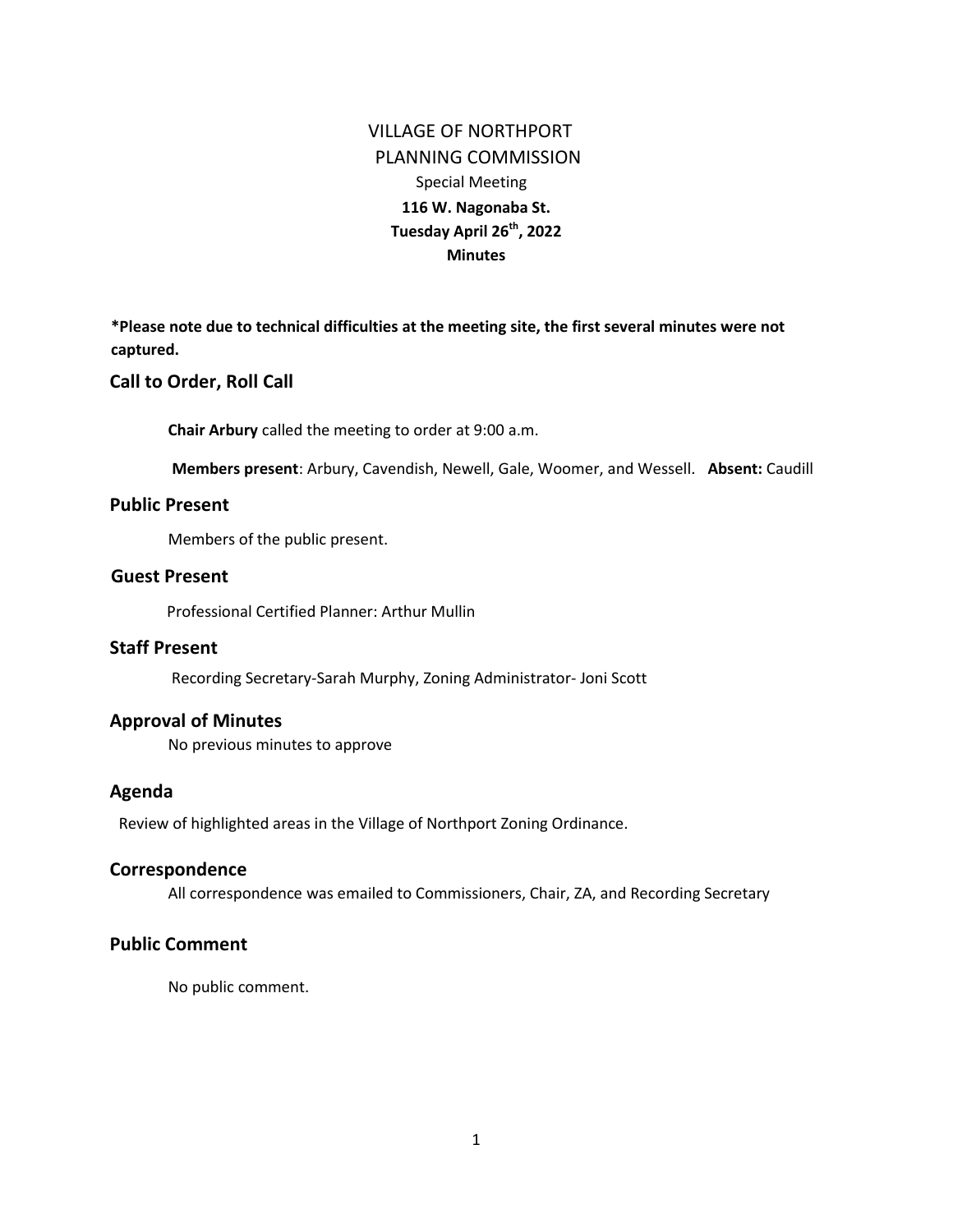# VILLAGE OF NORTHPORT PLANNING COMMISSION Special Meeting **116 W. Nagonaba St. Tuesday April 26th, 2022 Minutes**

**\*Please note due to technical difficulties at the meeting site, the first several minutes were not captured.** 

#### **Call to Order, Roll Call**

**Chair Arbury** called the meeting to order at 9:00 a.m.

**Members present**: Arbury, Cavendish, Newell, Gale, Woomer, and Wessell. **Absent:** Caudill

### **Public Present**

Members of the public present.

### **Guest Present**

Professional Certified Planner: Arthur Mullin

# **Staff Present**

Recording Secretary-Sarah Murphy, Zoning Administrator- Joni Scott

### **Approval of Minutes**

No previous minutes to approve

#### **Agenda**

Review of highlighted areas in the Village of Northport Zoning Ordinance.

#### **Correspondence**

All correspondence was emailed to Commissioners, Chair, ZA, and Recording Secretary

# **Public Comment**

No public comment.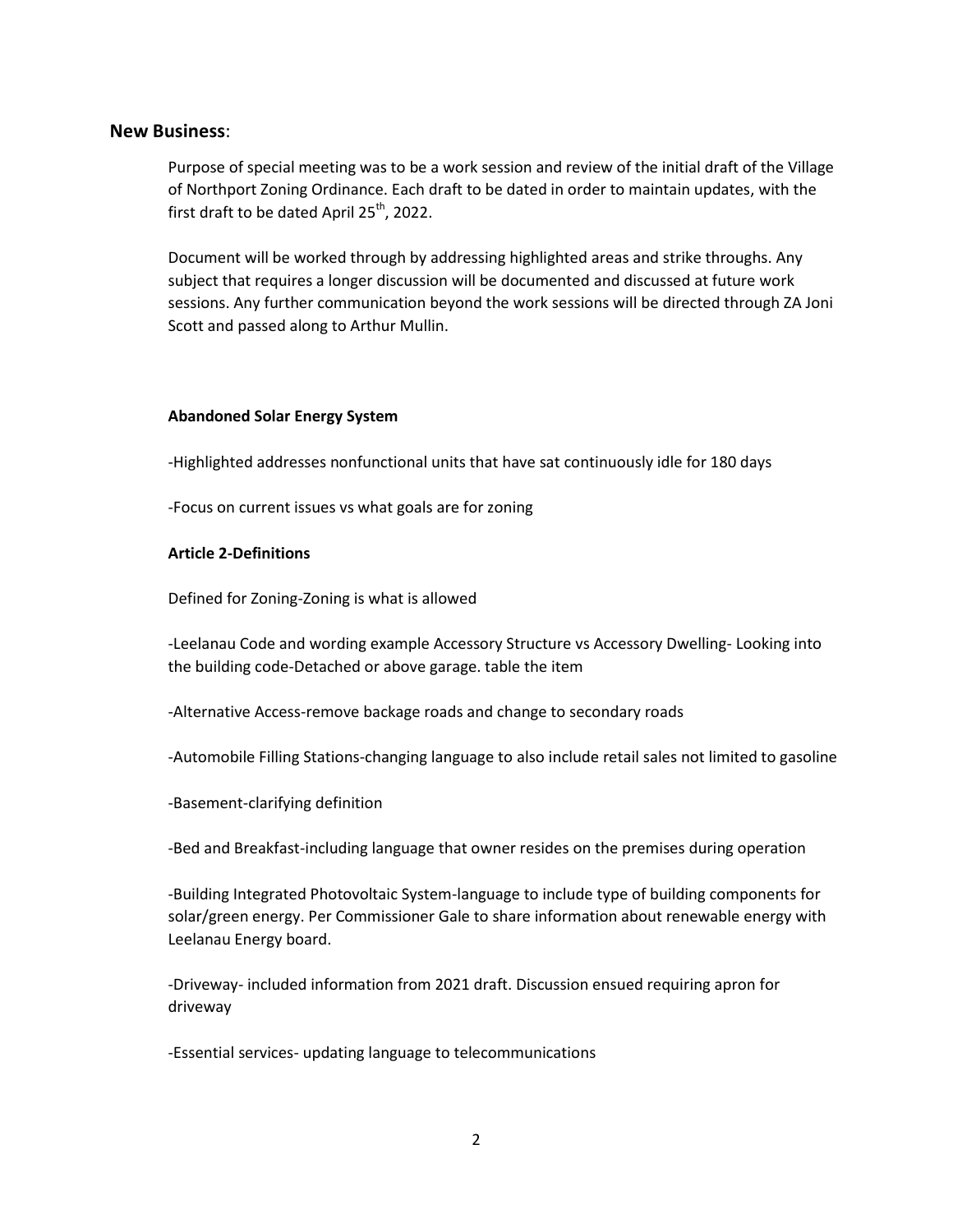#### **New Business**:

Purpose of special meeting was to be a work session and review of the initial draft of the Village of Northport Zoning Ordinance. Each draft to be dated in order to maintain updates, with the first draft to be dated April  $25<sup>th</sup>$ , 2022.

Document will be worked through by addressing highlighted areas and strike throughs. Any subject that requires a longer discussion will be documented and discussed at future work sessions. Any further communication beyond the work sessions will be directed through ZA Joni Scott and passed along to Arthur Mullin.

#### **Abandoned Solar Energy System**

-Highlighted addresses nonfunctional units that have sat continuously idle for 180 days

-Focus on current issues vs what goals are for zoning

#### **Article 2-Definitions**

Defined for Zoning-Zoning is what is allowed

-Leelanau Code and wording example Accessory Structure vs Accessory Dwelling- Looking into the building code-Detached or above garage. table the item

-Alternative Access-remove backage roads and change to secondary roads

-Automobile Filling Stations-changing language to also include retail sales not limited to gasoline

-Basement-clarifying definition

-Bed and Breakfast-including language that owner resides on the premises during operation

-Building Integrated Photovoltaic System-language to include type of building components for solar/green energy. Per Commissioner Gale to share information about renewable energy with Leelanau Energy board.

-Driveway- included information from 2021 draft. Discussion ensued requiring apron for driveway

-Essential services- updating language to telecommunications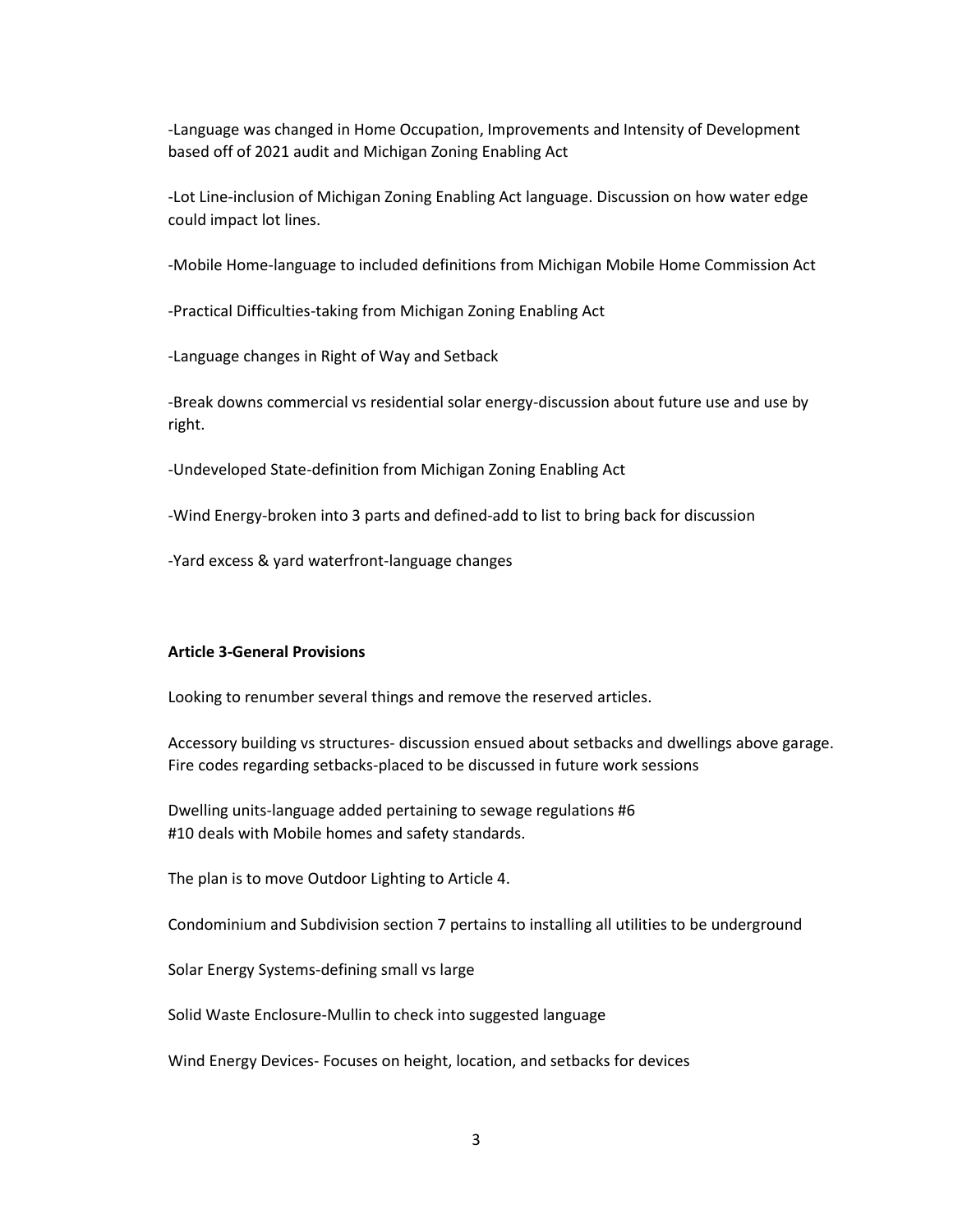-Language was changed in Home Occupation, Improvements and Intensity of Development based off of 2021 audit and Michigan Zoning Enabling Act

-Lot Line-inclusion of Michigan Zoning Enabling Act language. Discussion on how water edge could impact lot lines.

-Mobile Home-language to included definitions from Michigan Mobile Home Commission Act

-Practical Difficulties-taking from Michigan Zoning Enabling Act

-Language changes in Right of Way and Setback

-Break downs commercial vs residential solar energy-discussion about future use and use by right.

-Undeveloped State-definition from Michigan Zoning Enabling Act

-Wind Energy-broken into 3 parts and defined-add to list to bring back for discussion

-Yard excess & yard waterfront-language changes

#### **Article 3-General Provisions**

Looking to renumber several things and remove the reserved articles.

Accessory building vs structures- discussion ensued about setbacks and dwellings above garage. Fire codes regarding setbacks-placed to be discussed in future work sessions

Dwelling units-language added pertaining to sewage regulations #6 #10 deals with Mobile homes and safety standards.

The plan is to move Outdoor Lighting to Article 4.

Condominium and Subdivision section 7 pertains to installing all utilities to be underground

Solar Energy Systems-defining small vs large

Solid Waste Enclosure-Mullin to check into suggested language

Wind Energy Devices- Focuses on height, location, and setbacks for devices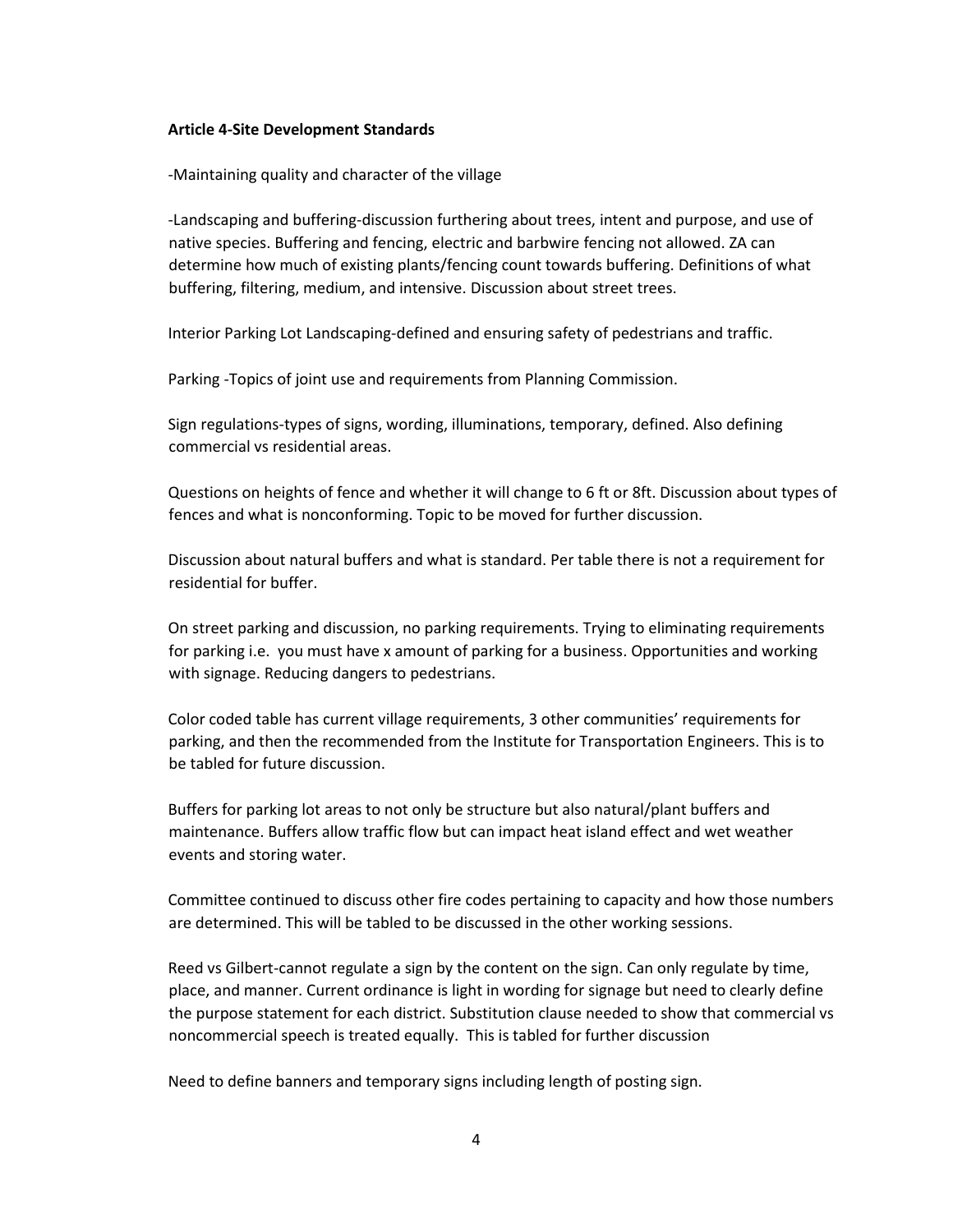#### **Article 4-Site Development Standards**

-Maintaining quality and character of the village

-Landscaping and buffering-discussion furthering about trees, intent and purpose, and use of native species. Buffering and fencing, electric and barbwire fencing not allowed. ZA can determine how much of existing plants/fencing count towards buffering. Definitions of what buffering, filtering, medium, and intensive. Discussion about street trees.

Interior Parking Lot Landscaping-defined and ensuring safety of pedestrians and traffic.

Parking -Topics of joint use and requirements from Planning Commission.

Sign regulations-types of signs, wording, illuminations, temporary, defined. Also defining commercial vs residential areas.

Questions on heights of fence and whether it will change to 6 ft or 8ft. Discussion about types of fences and what is nonconforming. Topic to be moved for further discussion.

Discussion about natural buffers and what is standard. Per table there is not a requirement for residential for buffer.

On street parking and discussion, no parking requirements. Trying to eliminating requirements for parking i.e. you must have x amount of parking for a business. Opportunities and working with signage. Reducing dangers to pedestrians.

Color coded table has current village requirements, 3 other communities' requirements for parking, and then the recommended from the Institute for Transportation Engineers. This is to be tabled for future discussion.

Buffers for parking lot areas to not only be structure but also natural/plant buffers and maintenance. Buffers allow traffic flow but can impact heat island effect and wet weather events and storing water.

Committee continued to discuss other fire codes pertaining to capacity and how those numbers are determined. This will be tabled to be discussed in the other working sessions.

Reed vs Gilbert-cannot regulate a sign by the content on the sign. Can only regulate by time, place, and manner. Current ordinance is light in wording for signage but need to clearly define the purpose statement for each district. Substitution clause needed to show that commercial vs noncommercial speech is treated equally. This is tabled for further discussion

Need to define banners and temporary signs including length of posting sign.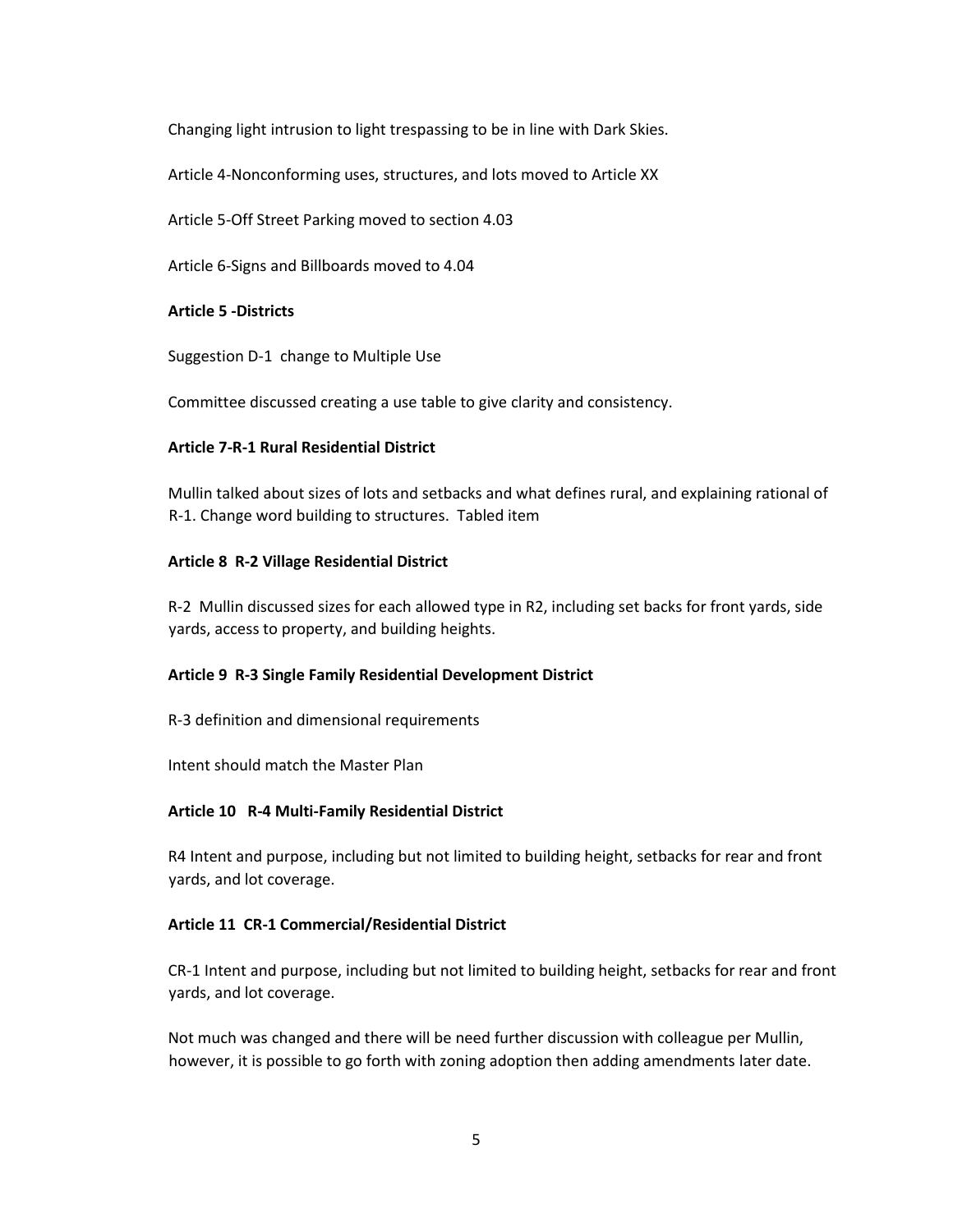Changing light intrusion to light trespassing to be in line with Dark Skies.

Article 4-Nonconforming uses, structures, and lots moved to Article XX

Article 5-Off Street Parking moved to section 4.03

Article 6-Signs and Billboards moved to 4.04

### **Article 5 -Districts**

Suggestion D-1 change to Multiple Use

Committee discussed creating a use table to give clarity and consistency.

### **Article 7-R-1 Rural Residential District**

Mullin talked about sizes of lots and setbacks and what defines rural, and explaining rational of R-1. Change word building to structures. Tabled item

### **Article 8 R-2 Village Residential District**

R-2 Mullin discussed sizes for each allowed type in R2, including set backs for front yards, side yards, access to property, and building heights.

#### **Article 9 R-3 Single Family Residential Development District**

R-3 definition and dimensional requirements

Intent should match the Master Plan

#### **Article 10 R-4 Multi-Family Residential District**

R4 Intent and purpose, including but not limited to building height, setbacks for rear and front yards, and lot coverage.

# **Article 11 CR-1 Commercial/Residential District**

CR-1 Intent and purpose, including but not limited to building height, setbacks for rear and front yards, and lot coverage.

Not much was changed and there will be need further discussion with colleague per Mullin, however, it is possible to go forth with zoning adoption then adding amendments later date.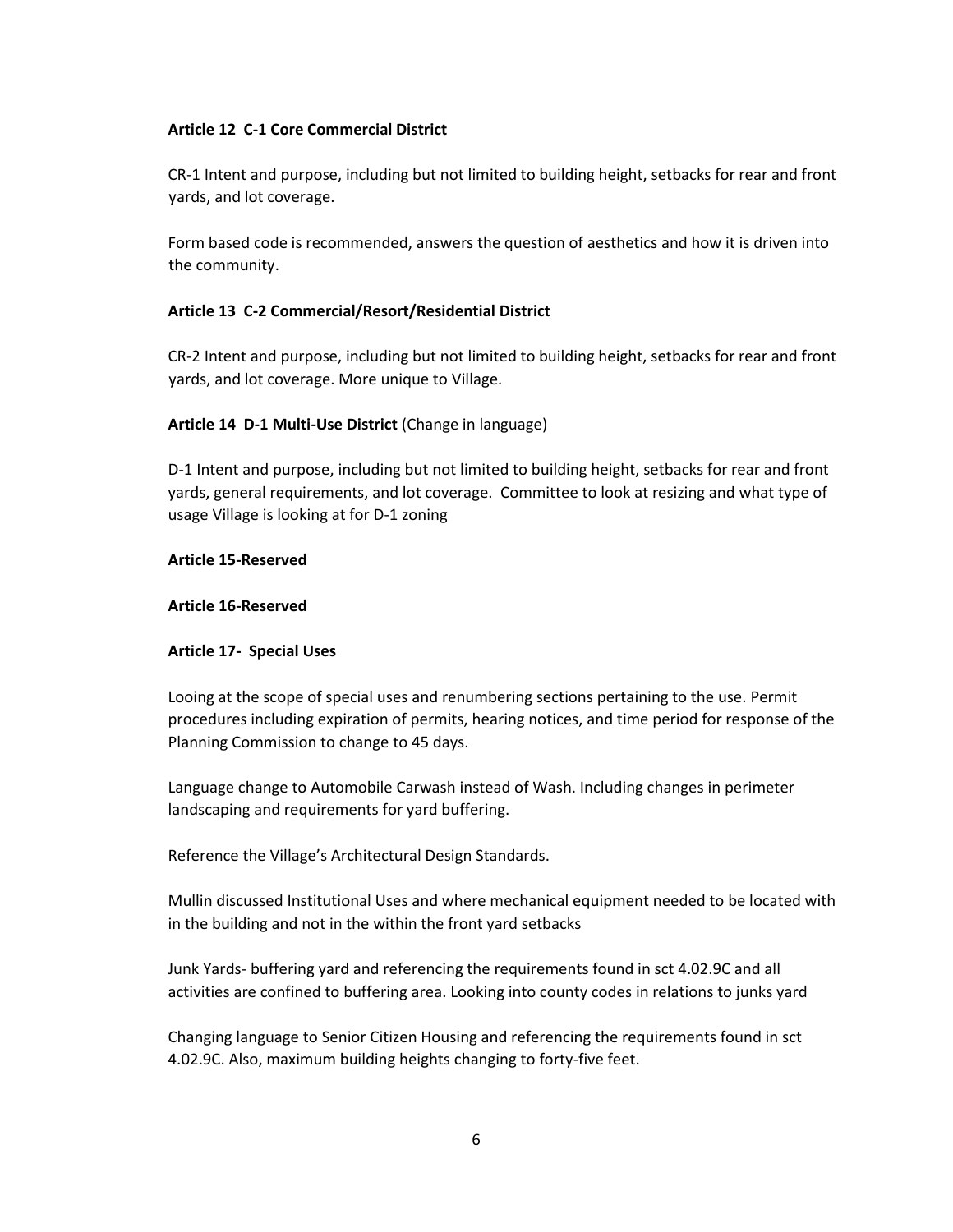#### **Article 12 C-1 Core Commercial District**

CR-1 Intent and purpose, including but not limited to building height, setbacks for rear and front yards, and lot coverage.

Form based code is recommended, answers the question of aesthetics and how it is driven into the community.

#### **Article 13 C-2 Commercial/Resort/Residential District**

CR-2 Intent and purpose, including but not limited to building height, setbacks for rear and front yards, and lot coverage. More unique to Village.

### **Article 14 D-1 Multi-Use District** (Change in language)

D-1 Intent and purpose, including but not limited to building height, setbacks for rear and front yards, general requirements, and lot coverage. Committee to look at resizing and what type of usage Village is looking at for D-1 zoning

#### **Article 15-Reserved**

#### **Article 16-Reserved**

#### **Article 17- Special Uses**

Looing at the scope of special uses and renumbering sections pertaining to the use. Permit procedures including expiration of permits, hearing notices, and time period for response of the Planning Commission to change to 45 days.

Language change to Automobile Carwash instead of Wash. Including changes in perimeter landscaping and requirements for yard buffering.

Reference the Village's Architectural Design Standards.

Mullin discussed Institutional Uses and where mechanical equipment needed to be located with in the building and not in the within the front yard setbacks

Junk Yards- buffering yard and referencing the requirements found in sct 4.02.9C and all activities are confined to buffering area. Looking into county codes in relations to junks yard

Changing language to Senior Citizen Housing and referencing the requirements found in sct 4.02.9C. Also, maximum building heights changing to forty-five feet.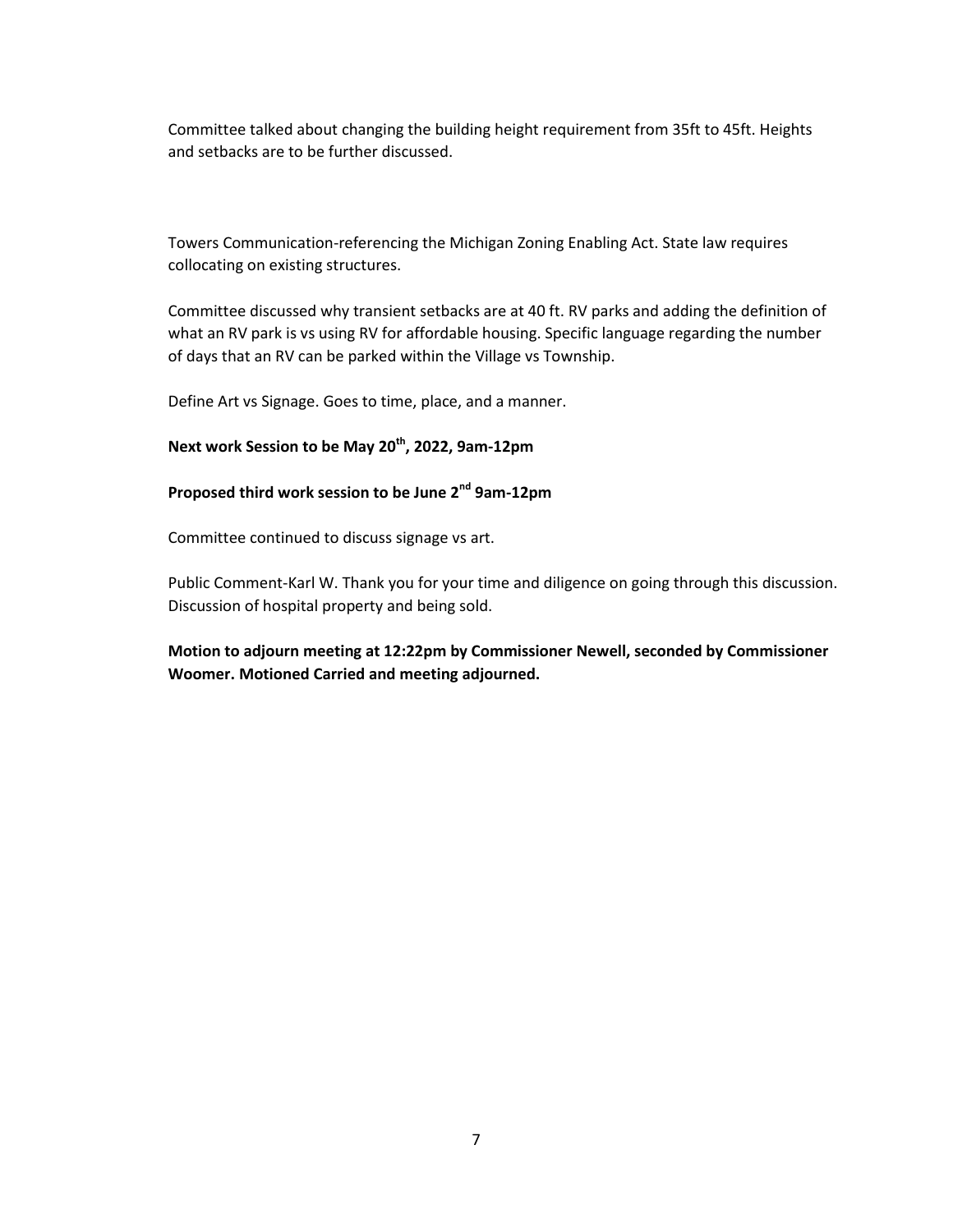Committee talked about changing the building height requirement from 35ft to 45ft. Heights and setbacks are to be further discussed.

Towers Communication-referencing the Michigan Zoning Enabling Act. State law requires collocating on existing structures.

Committee discussed why transient setbacks are at 40 ft. RV parks and adding the definition of what an RV park is vs using RV for affordable housing. Specific language regarding the number of days that an RV can be parked within the Village vs Township.

Define Art vs Signage. Goes to time, place, and a manner.

# **Next work Session to be May 20th, 2022, 9am-12pm**

# **Proposed third work session to be June 2nd 9am-12pm**

Committee continued to discuss signage vs art.

Public Comment-Karl W. Thank you for your time and diligence on going through this discussion. Discussion of hospital property and being sold.

**Motion to adjourn meeting at 12:22pm by Commissioner Newell, seconded by Commissioner Woomer. Motioned Carried and meeting adjourned.**